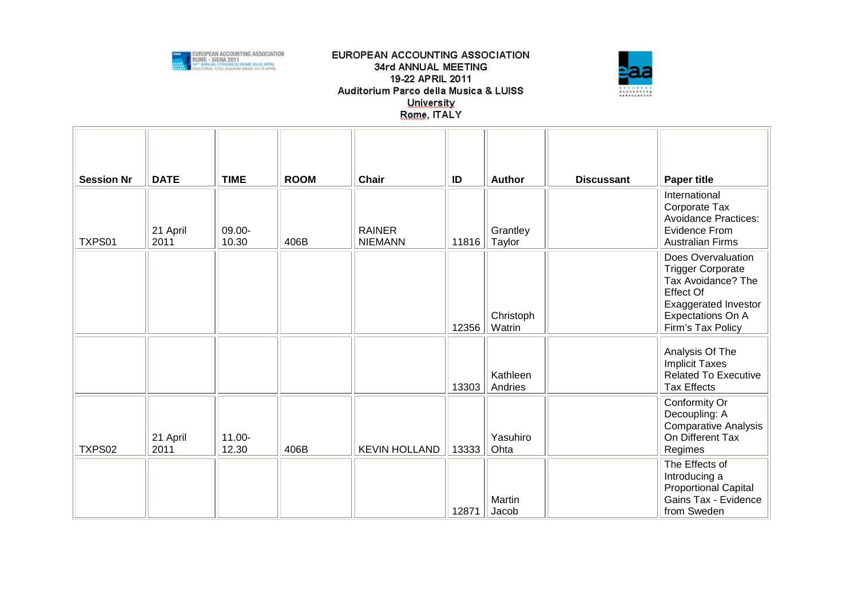



| <b>Session Nr</b> | <b>DATE</b>      | <b>TIME</b>     | <b>ROOM</b> | Chair                           | ID    | <b>Author</b>       | <b>Discussant</b> | <b>Paper title</b>                                                                                                                                                |
|-------------------|------------------|-----------------|-------------|---------------------------------|-------|---------------------|-------------------|-------------------------------------------------------------------------------------------------------------------------------------------------------------------|
| TXPS01            | 21 April<br>2011 | 09.00-<br>10.30 | 406B        | <b>RAINER</b><br><b>NIEMANN</b> | 11816 | Grantley<br>Taylor  |                   | International<br>Corporate Tax<br><b>Avoidance Practices:</b><br>Evidence From<br><b>Australian Firms</b>                                                         |
|                   |                  |                 |             |                                 | 12356 | Christoph<br>Watrin |                   | Does Overvaluation<br><b>Trigger Corporate</b><br>Tax Avoidance? The<br><b>Effect Of</b><br><b>Exaggerated Investor</b><br>Expectations On A<br>Firm's Tax Policy |
|                   |                  |                 |             |                                 | 13303 | Kathleen<br>Andries |                   | Analysis Of The<br><b>Implicit Taxes</b><br><b>Related To Executive</b><br><b>Tax Effects</b>                                                                     |
| TXPS02            | 21 April<br>2011 | 11.00-<br>12.30 | 406B        | <b>KEVIN HOLLAND</b>            | 13333 | Yasuhiro<br>Ohta    |                   | Conformity Or<br>Decoupling: A<br><b>Comparative Analysis</b><br>On Different Tax<br>Regimes                                                                      |
|                   |                  |                 |             |                                 | 12871 | Martin<br>Jacob     |                   | The Effects of<br>Introducing a<br><b>Proportional Capital</b><br>Gains Tax - Evidence<br>from Sweden                                                             |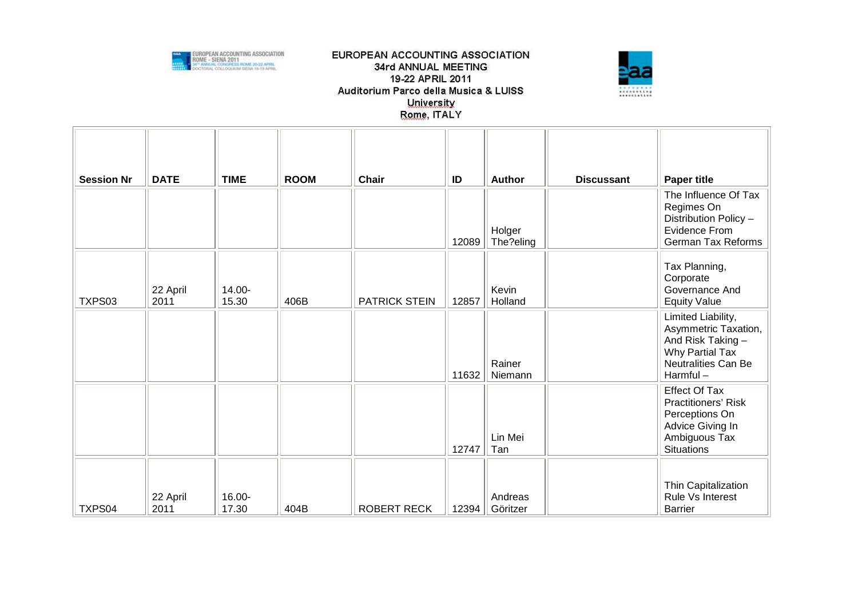



| <b>Session Nr</b> | <b>DATE</b>      | <b>TIME</b>     | <b>ROOM</b> | Chair                | ID<br>12089 | <b>Author</b><br>Holger<br>The?eling | <b>Discussant</b> | <b>Paper title</b><br>The Influence Of Tax<br>Regimes On<br>Distribution Policy -<br>Evidence From<br>German Tax Reforms     |
|-------------------|------------------|-----------------|-------------|----------------------|-------------|--------------------------------------|-------------------|------------------------------------------------------------------------------------------------------------------------------|
| TXPS03            | 22 April<br>2011 | 14.00-<br>15.30 | 406B        | <b>PATRICK STEIN</b> | 12857       | Kevin<br>Holland                     |                   | Tax Planning,<br>Corporate<br>Governance And<br><b>Equity Value</b>                                                          |
|                   |                  |                 |             |                      | 11632       | Rainer<br>Niemann                    |                   | Limited Liability,<br>Asymmetric Taxation,<br>And Risk Taking -<br>Why Partial Tax<br><b>Neutralities Can Be</b><br>Harmful- |
|                   |                  |                 |             |                      | 12747       | Lin Mei<br>Tan                       |                   | <b>Effect Of Tax</b><br>Practitioners' Risk<br>Perceptions On<br>Advice Giving In<br>Ambiguous Tax<br><b>Situations</b>      |
| TXPS04            | 22 April<br>2011 | 16.00-<br>17.30 | 404B        | <b>ROBERT RECK</b>   | 12394       | Andreas<br>Göritzer                  |                   | Thin Capitalization<br>Rule Vs Interest<br><b>Barrier</b>                                                                    |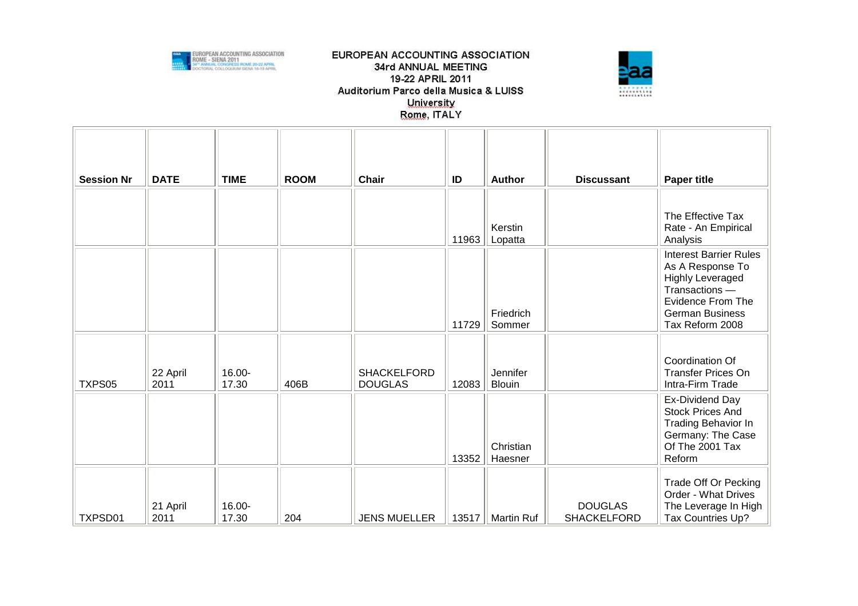



| <b>Session Nr</b> | <b>DATE</b>      | <b>TIME</b>     | <b>ROOM</b> | <b>Chair</b>                         | ID    | <b>Author</b>             | <b>Discussant</b>                    | <b>Paper title</b>                                                                                                                                               |
|-------------------|------------------|-----------------|-------------|--------------------------------------|-------|---------------------------|--------------------------------------|------------------------------------------------------------------------------------------------------------------------------------------------------------------|
|                   |                  |                 |             |                                      | 11963 | Kerstin<br>Lopatta        |                                      | The Effective Tax<br>Rate - An Empirical<br>Analysis                                                                                                             |
|                   |                  |                 |             |                                      | 11729 | Friedrich<br>Sommer       |                                      | <b>Interest Barrier Rules</b><br>As A Response To<br><b>Highly Leveraged</b><br>Transactions -<br>Evidence From The<br><b>German Business</b><br>Tax Reform 2008 |
| TXPS05            | 22 April<br>2011 | 16.00-<br>17.30 | 406B        | <b>SHACKELFORD</b><br><b>DOUGLAS</b> | 12083 | Jennifer<br><b>Blouin</b> |                                      | Coordination Of<br><b>Transfer Prices On</b><br>Intra-Firm Trade                                                                                                 |
|                   |                  |                 |             |                                      | 13352 | Christian<br>Haesner      |                                      | Ex-Dividend Day<br><b>Stock Prices And</b><br><b>Trading Behavior In</b><br>Germany: The Case<br>Of The 2001 Tax<br>Reform                                       |
| TXPSD01           | 21 April<br>2011 | 16.00-<br>17.30 | 204         | <b>JENS MUELLER</b>                  | 13517 | Martin Ruf                | <b>DOUGLAS</b><br><b>SHACKELFORD</b> | Trade Off Or Pecking<br>Order - What Drives<br>The Leverage In High<br>Tax Countries Up?                                                                         |